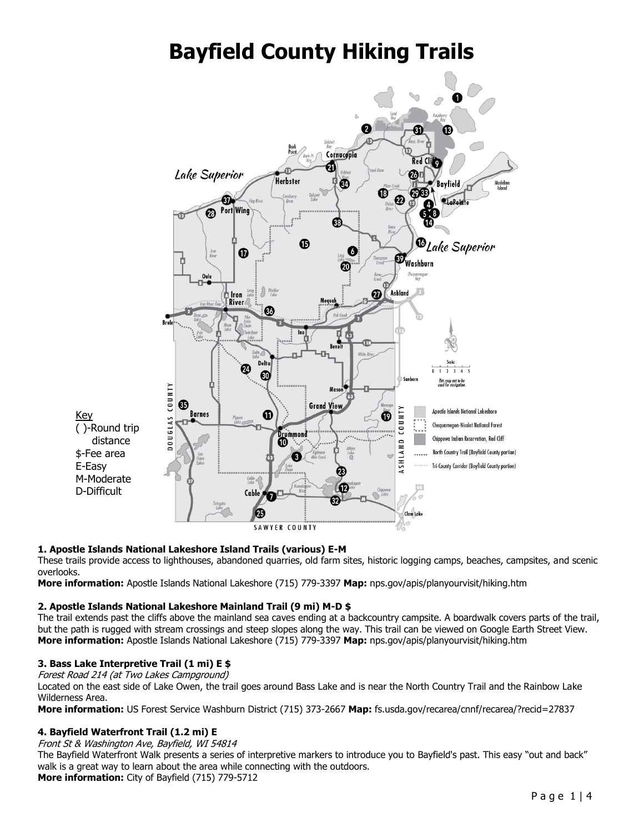# **Bayfield County Hiking Trails**



## **1. Apostle Islands National Lakeshore Island Trails (various) E-M**

These trails provide access to lighthouses, abandoned quarries, old farm sites, historic logging camps, beaches, campsites, and scenic overlooks.

**More information:** Apostle Islands National Lakeshore (715) 779-3397 **Map:** nps.gov/apis/planyourvisit/hiking.htm

#### **2. Apostle Islands National Lakeshore Mainland Trail (9 mi) M-D \$**

The trail extends past the cliffs above the mainland sea caves ending at a backcountry campsite. A boardwalk covers parts of the trail, but the path is rugged with stream crossings and steep slopes along the way. This trail can be viewed on Google Earth Street View. **More information:** Apostle Islands National Lakeshore (715) 779-3397 **Map:** nps.gov/apis/planyourvisit/hiking.htm

#### **3. Bass Lake Interpretive Trail (1 mi) E \$**

Forest Road 214 (at Two Lakes Campground)

Located on the east side of Lake Owen, the trail goes around Bass Lake and is near the North Country Trail and the Rainbow Lake Wilderness Area.

**More information:** US Forest Service Washburn District (715) 373-2667 **Map:** fs.usda.gov/recarea/cnnf/recarea/?recid=27837

#### **4. Bayfield Waterfront Trail (1.2 mi) E**

Front St & Washington Ave, Bayfield, WI 54814

The Bayfield Waterfront Walk presents a series of interpretive markers to introduce you to Bayfield's past. This easy "out and back" walk is a great way to learn about the area while connecting with the outdoors. **More information:** City of Bayfield (715) 779-5712

Page 1|4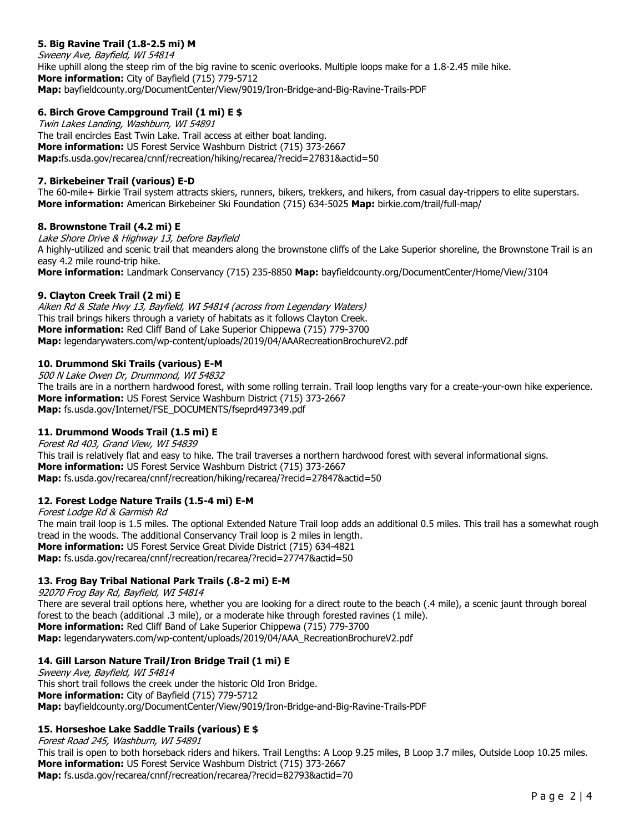# **5. Big Ravine Trail (1.8-2.5 mi) M**

Sweeny Ave, Bayfield, WI 54814 Hike uphill along the steep rim of the big ravine to scenic overlooks. Multiple loops make for a 1.8-2.45 mile hike. **More information:** City of Bayfield (715) 779-5712 **Map:** bayfieldcounty.org/DocumentCenter/View/9019/Iron-Bridge-and-Big-Ravine-Trails-PDF

## **6. Birch Grove Campground Trail (1 mi) E \$**

Twin Lakes Landing, Washburn, WI 54891 The trail encircles East Twin Lake. Trail access at either boat landing. **More information:** US Forest Service Washburn District (715) 373-2667 **Map:**fs.usda.gov/recarea/cnnf/recreation/hiking/recarea/?recid=27831&actid=50

## **7. Birkebeiner Trail (various) E-D**

The 60-mile+ Birkie Trail system attracts skiers, runners, bikers, trekkers, and hikers, from casual day-trippers to elite superstars. **More information:** American Birkebeiner Ski Foundation (715) 634-5025 **Map:** birkie.com/trail/full-map/

## **8. Brownstone Trail (4.2 mi) E**

Lake Shore Drive & Highway 13, before Bayfield A highly-utilized and scenic trail that meanders along the brownstone cliffs of the Lake Superior shoreline, the Brownstone Trail is an easy 4.2 mile round-trip hike. **More information:** Landmark Conservancy (715) 235-8850 **Map:** bayfieldcounty.org/DocumentCenter/Home/View/3104

## **9. Clayton Creek Trail (2 mi) E**

Aiken Rd & State Hwy 13, Bayfield, WI 54814 (across from Legendary Waters) This trail brings hikers through a variety of habitats as it follows Clayton Creek. **More information:** Red Cliff Band of Lake Superior Chippewa (715) 779-3700 **Map:** legendarywaters.com/wp-content/uploads/2019/04/AAARecreationBrochureV2.pdf

## **10. Drummond Ski Trails (various) E-M**

500 N Lake Owen Dr, Drummond, WI 54832

The trails are in a northern hardwood forest, with some rolling terrain. Trail loop lengths vary for a create-your-own hike experience. **More information:** US Forest Service Washburn District (715) 373-2667 **Map:** fs.usda.gov/Internet/FSE\_DOCUMENTS/fseprd497349.pdf

## **11. Drummond Woods Trail (1.5 mi) E**

Forest Rd 403, Grand View, WI 54839 This trail is relatively flat and easy to hike. The trail traverses a northern hardwood forest with several informational signs. **More information:** US Forest Service Washburn District (715) 373-2667 **Map:** fs.usda.gov/recarea/cnnf/recreation/hiking/recarea/?recid=27847&actid=50

## **12. Forest Lodge Nature Trails (1.5-4 mi) E-M**

Forest Lodge Rd & Garmish Rd The main trail loop is 1.5 miles. The optional Extended Nature Trail loop adds an additional 0.5 miles. This trail has a somewhat rough tread in the woods. The additional Conservancy Trail loop is 2 miles in length. **More information:** US Forest Service Great Divide District (715) 634-4821 **Map:** fs.usda.gov/recarea/cnnf/recreation/recarea/?recid=27747&actid=50

## **13. Frog Bay Tribal National Park Trails (.8-2 mi) E-M**

92070 Frog Bay Rd, Bayfield, WI 54814 There are several trail options here, whether you are looking for a direct route to the beach (.4 mile), a scenic jaunt through boreal forest to the beach (additional .3 mile), or a moderate hike through forested ravines (1 mile). **More information:** Red Cliff Band of Lake Superior Chippewa (715) 779-3700 **Map:** legendarywaters.com/wp-content/uploads/2019/04/AAA\_RecreationBrochureV2.pdf

## **14. Gill Larson Nature Trail/Iron Bridge Trail (1 mi) E**

Sweeny Ave, Bayfield, WI 54814 This short trail follows the creek under the historic Old Iron Bridge. **More information:** City of Bayfield (715) 779-5712 **Map:** bayfieldcounty.org/DocumentCenter/View/9019/Iron-Bridge-and-Big-Ravine-Trails-PDF

## **15. Horseshoe Lake Saddle Trails (various) E \$**

Forest Road 245, Washburn, WI 54891 This trail is open to both horseback riders and hikers. Trail Lengths: A Loop 9.25 miles, B Loop 3.7 miles, Outside Loop 10.25 miles. **More information:** US Forest Service Washburn District (715) 373-2667 **Map:** fs.usda.gov/recarea/cnnf/recreation/recarea/?recid=82793&actid=70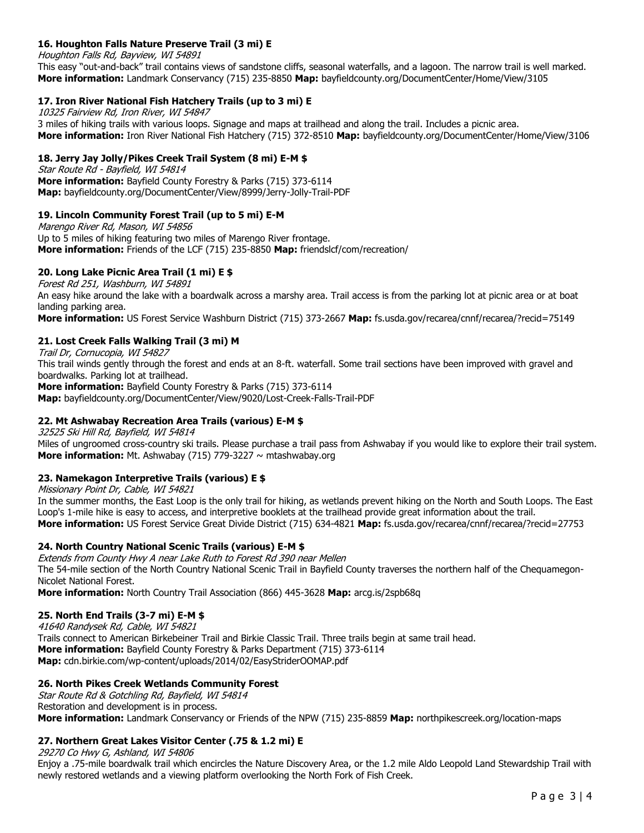## **16. Houghton Falls Nature Preserve Trail (3 mi) E**

Houghton Falls Rd, Bayview, WI 54891

This easy "out-and-back" trail contains views of sandstone cliffs, seasonal waterfalls, and a lagoon. The narrow trail is well marked. **More information:** Landmark Conservancy (715) 235-8850 **Map:** bayfieldcounty.org/DocumentCenter/Home/View/3105

## **17. Iron River National Fish Hatchery Trails (up to 3 mi) E**

10325 Fairview Rd, Iron River, WI 54847 3 miles of hiking trails with various loops. Signage and maps at trailhead and along the trail. Includes a picnic area. **More information:** Iron River National Fish Hatchery (715) 372-8510 **Map:** bayfieldcounty.org/DocumentCenter/Home/View/3106

## **18. Jerry Jay Jolly/Pikes Creek Trail System (8 mi) E-M \$**

Star Route Rd - Bayfield, WI 54814 **More information:** Bayfield County Forestry & Parks (715) 373-6114 **Map:** bayfieldcounty.org/DocumentCenter/View/8999/Jerry-Jolly-Trail-PDF

## **19. Lincoln Community Forest Trail (up to 5 mi) E-M**

Marengo River Rd, Mason, WI 54856 Up to 5 miles of hiking featuring two miles of Marengo River frontage. **More information:** Friends of the LCF (715) 235-8850 **Map:** friendslcf/com/recreation/

# **20. Long Lake Picnic Area Trail (1 mi) E \$**

Forest Rd 251, Washburn, WI 54891 An easy hike around the lake with a boardwalk across a marshy area. Trail access is from the parking lot at picnic area or at boat landing parking area.

**More information:** US Forest Service Washburn District (715) 373-2667 **Map:** fs.usda.gov/recarea/cnnf/recarea/?recid=75149

## **21. Lost Creek Falls Walking Trail (3 mi) M**

Trail Dr, Cornucopia, WI 54827 This trail winds gently through the forest and ends at an 8-ft. waterfall. Some trail sections have been improved with gravel and

boardwalks. Parking lot at trailhead. **More information:** Bayfield County Forestry & Parks (715) 373-6114 **Map:** bayfieldcounty.org/DocumentCenter/View/9020/Lost-Creek-Falls-Trail-PDF

## **22. Mt Ashwabay Recreation Area Trails (various) E-M \$**

32525 Ski Hill Rd, Bayfield, WI 54814 Miles of ungroomed cross-country ski trails. Please purchase a trail pass from Ashwabay if you would like to explore their trail system. **More information:** Mt. Ashwabay (715) 779-3227 ~ mtashwabay.org

## **23. Namekagon Interpretive Trails (various) E \$**

Missionary Point Dr, Cable, WI 54821

In the summer months, the East Loop is the only trail for hiking, as wetlands prevent hiking on the North and South Loops. The East Loop's 1-mile hike is easy to access, and interpretive booklets at the trailhead provide great information about the trail. **More information:** US Forest Service Great Divide District (715) 634-4821 **Map:** fs.usda.gov/recarea/cnnf/recarea/?recid=27753

## **24. North Country National Scenic Trails (various) E-M \$**

Extends from County Hwy A near Lake Ruth to Forest Rd 390 near Mellen The 54-mile section of the North Country National Scenic Trail in Bayfield County traverses the northern half of the Chequamegon-Nicolet National Forest.

**More information:** North Country Trail Association (866) 445-3628 **Map:** arcg.is/2spb68q

## **25. North End Trails (3-7 mi) E-M \$**

41640 Randysek Rd, Cable, WI 54821 Trails connect to American Birkebeiner Trail and Birkie Classic Trail. Three trails begin at same trail head. **More information:** Bayfield County Forestry & Parks Department (715) 373-6114 **Map:** cdn.birkie.com/wp-content/uploads/2014/02/EasyStriderOOMAP.pdf

## **26. North Pikes Creek Wetlands Community Forest**

Star Route Rd & Gotchling Rd, Bayfield, WI 54814 Restoration and development is in process. **More information:** Landmark Conservancy or Friends of the NPW (715) 235-8859 **Map:** northpikescreek.org/location-maps

## **27. Northern Great Lakes Visitor Center (.75 & 1.2 mi) E**

29270 Co Hwy G, Ashland, WI 54806

Enjoy a .75-mile boardwalk trail which encircles the Nature Discovery Area, or the 1.2 mile Aldo Leopold Land Stewardship Trail with newly restored wetlands and a viewing platform overlooking the North Fork of Fish Creek.